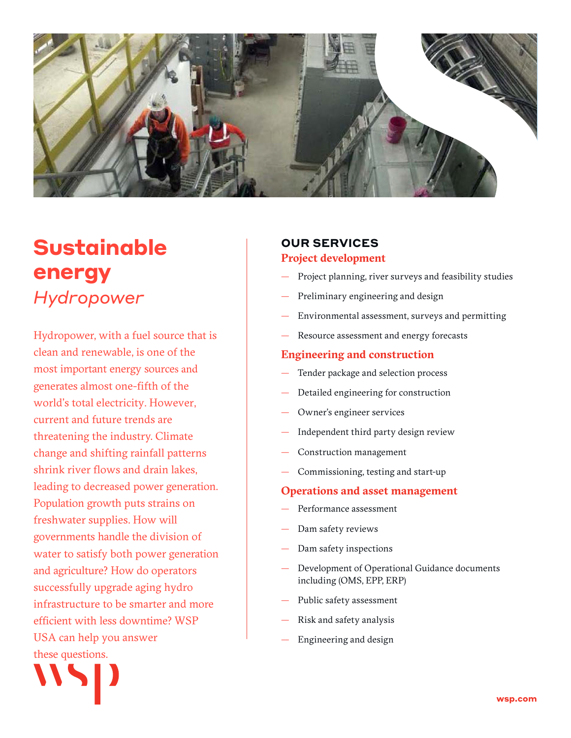

# **Sustainable energy** *Hydropower*

Hydropower, with a fuel source that is clean and renewable, is one of the most important energy sources and generates almost one-fifth of the world's total electricity. However, current and future trends are threatening the industry. Climate change and shifting rainfall patterns shrink river flows and drain lakes, leading to decreased power generation. Population growth puts strains on freshwater supplies. How will governments handle the division of water to satisfy both power generation and agriculture? How do operators successfully upgrade aging hydro infrastructure to be smarter and more efficient with less downtime? WSP USA can help you answer these questions.

# **OUR SERVICES**

#### **Project development**

- Project planning, river surveys and feasibility studies
- Preliminary engineering and design
- Environmental assessment, surveys and permitting
- Resource assessment and energy forecasts

#### **Engineering and construction**

- Tender package and selection process
- Detailed engineering for construction
- Owner's engineer services
- Independent third party design review
- Construction management
- Commissioning, testing and start-up

#### **Operations and asset management**

- Performance assessment
- Dam safety reviews
- Dam safety inspections
- Development of Operational Guidance documents including (OMS, EPP, ERP)
- Public safety assessment
- Risk and safety analysis
- Engineering and design